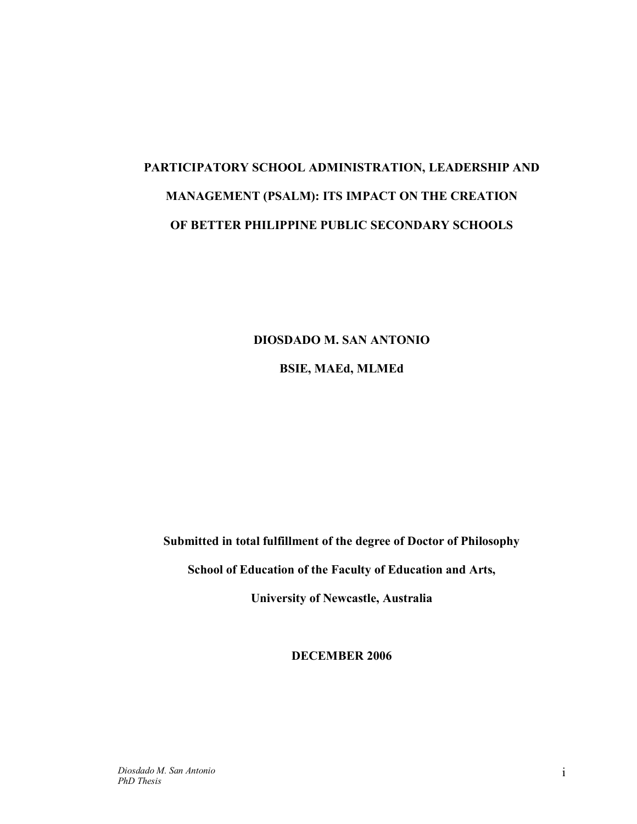# **PARTICIPATORY SCHOOL ADMINISTRATION, LEADERSHIP AND MANAGEMENT (PSALM): ITS IMPACT ON THE CREATION OF BETTER PHILIPPINE PUBLIC SECONDARY SCHOOLS**

**DIOSDADO M. SAN ANTONIO** 

**BSIE, MAEd, MLMEd** 

**Submitted in total fulfillment of the degree of Doctor of Philosophy** 

**School of Education of the Faculty of Education and Arts,** 

**University of Newcastle, Australia** 

**DECEMBER 2006** 

*Diosdado M. San Antonio PhD Thesis*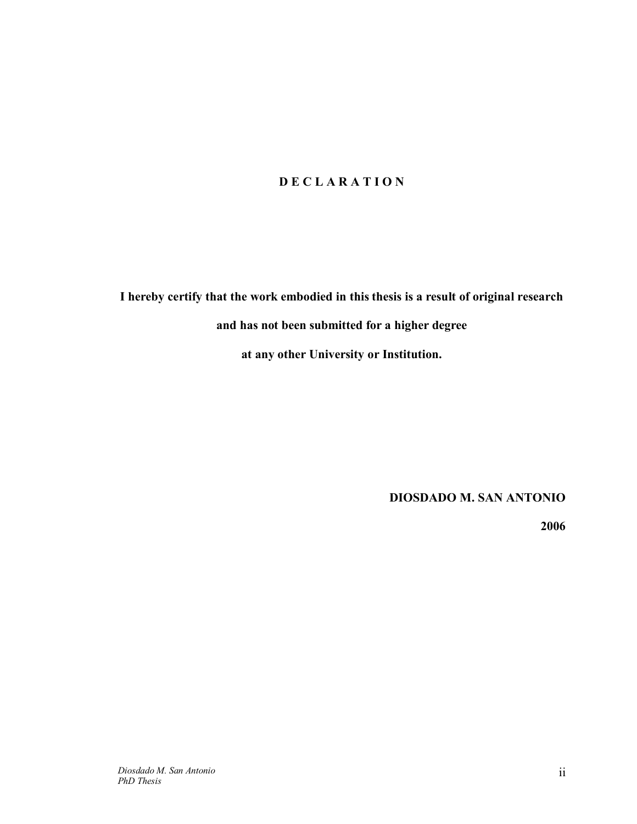## **D E C L A R A T I O N**

**I hereby certify that the work embodied in this thesis is a result of original research and has not been submitted for a higher degree** 

**at any other University or Institution.** 

**DIOSDADO M. SAN ANTONIO** 

**2006**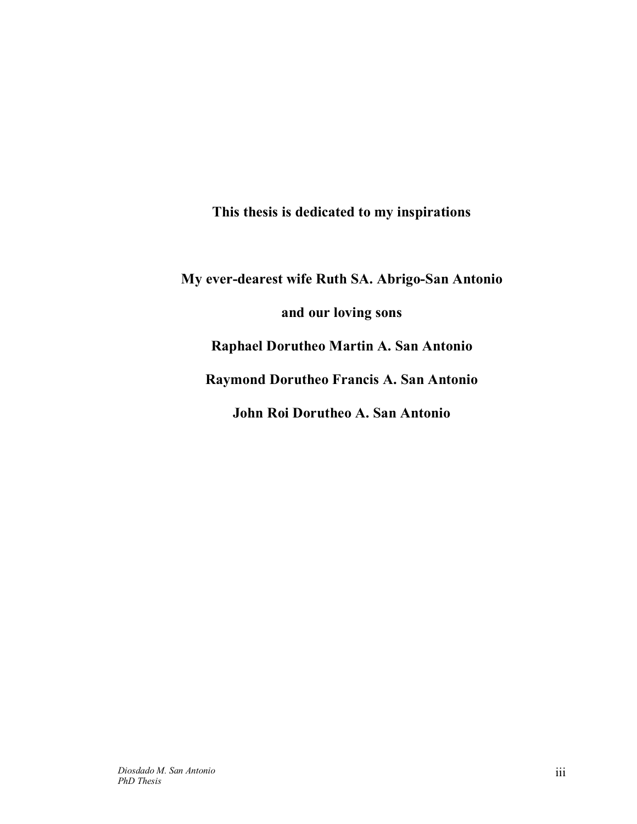**This thesis is dedicated to my inspirations** 

**My ever-dearest wife Ruth SA. Abrigo-San Antonio and our loving sons Raphael Dorutheo Martin A. San Antonio Raymond Dorutheo Francis A. San Antonio John Roi Dorutheo A. San Antonio**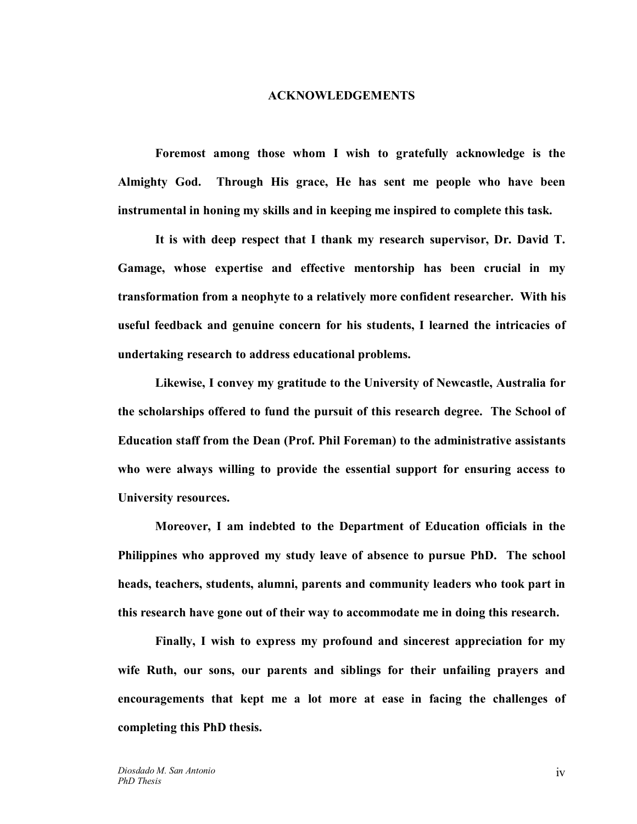#### **ACKNOWLEDGEMENTS**

**Foremost among those whom I wish to gratefully acknowledge is the Almighty God. Through His grace, He has sent me people who have been instrumental in honing my skills and in keeping me inspired to complete this task.** 

**It is with deep respect that I thank my research supervisor, Dr. David T. Gamage, whose expertise and effective mentorship has been crucial in my transformation from a neophyte to a relatively more confident researcher. With his useful feedback and genuine concern for his students, I learned the intricacies of undertaking research to address educational problems.** 

**Likewise, I convey my gratitude to the University of Newcastle, Australia for the scholarships offered to fund the pursuit of this research degree. The School of Education staff from the Dean (Prof. Phil Foreman) to the administrative assistants who were always willing to provide the essential support for ensuring access to University resources.** 

**Moreover, I am indebted to the Department of Education officials in the Philippines who approved my study leave of absence to pursue PhD. The school heads, teachers, students, alumni, parents and community leaders who took part in this research have gone out of their way to accommodate me in doing this research.** 

**Finally, I wish to express my profound and sincerest appreciation for my wife Ruth, our sons, our parents and siblings for their unfailing prayers and encouragements that kept me a lot more at ease in facing the challenges of completing this PhD thesis.**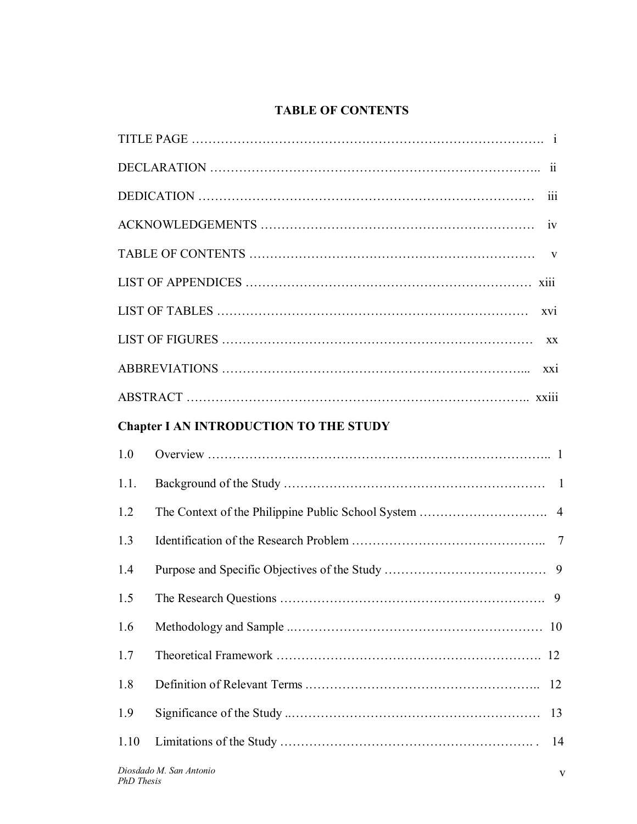# **TABLE OF CONTENTS**

|                                               | 111            |  |
|-----------------------------------------------|----------------|--|
|                                               |                |  |
|                                               | $\mathbf{V}$   |  |
|                                               |                |  |
|                                               | XV1            |  |
|                                               | XX             |  |
|                                               | XX1            |  |
|                                               |                |  |
| <b>Chapter I AN INTRODUCTION TO THE STUDY</b> |                |  |
| 1.0                                           |                |  |
| 1.1.                                          |                |  |
| 1.2                                           |                |  |
| 1.3                                           | $\overline{7}$ |  |
| 1.4                                           | 9              |  |
| 1.5                                           | 9              |  |
| 1.6                                           | 10             |  |
| 1.7                                           |                |  |
| 1.8                                           | 12             |  |
| 1.9                                           | 13             |  |
| 1.10                                          | 14             |  |
|                                               |                |  |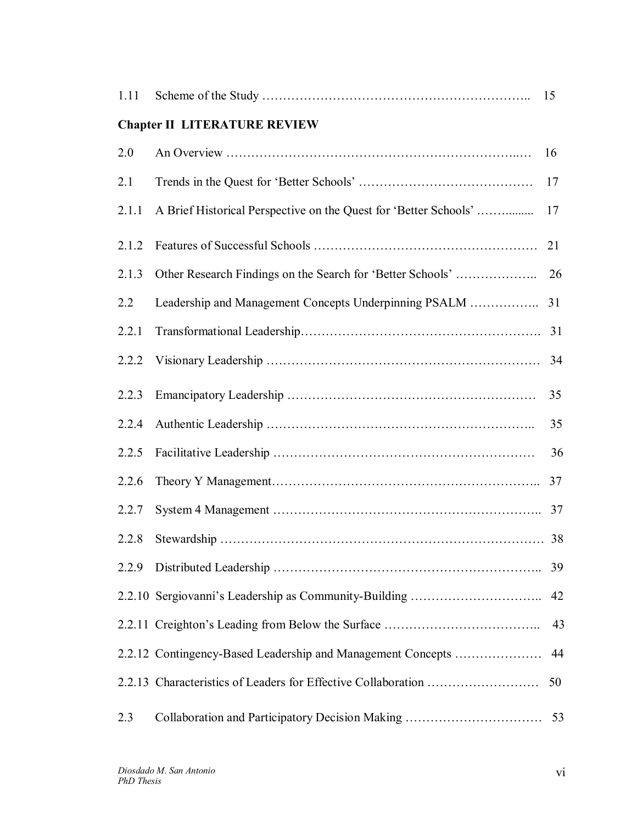| 1.11  |                                                                  | 15 |
|-------|------------------------------------------------------------------|----|
|       | <b>Chapter II LITERATURE REVIEW</b>                              |    |
| 2.0   |                                                                  | 16 |
| 2.1   |                                                                  | 17 |
| 2.1.1 | A Brief Historical Perspective on the Quest for 'Better Schools' | 17 |
| 2.1.2 |                                                                  | 21 |
| 2.1.3 | Other Research Findings on the Search for 'Better Schools'       | 26 |
| 2.2   |                                                                  | 31 |
| 2.2.1 |                                                                  | 31 |
| 2.2.2 |                                                                  | 34 |
| 2.2.3 |                                                                  | 35 |
| 2.2.4 |                                                                  | 35 |
| 2.2.5 |                                                                  | 36 |
| 2.2.6 |                                                                  | 37 |
| 2.2.7 |                                                                  |    |
| 2.2.8 |                                                                  |    |
| 2.2.9 |                                                                  | 39 |
|       |                                                                  | 42 |
|       |                                                                  | 43 |
|       | 2.2.12 Contingency-Based Leadership and Management Concepts      | 44 |
|       |                                                                  | 50 |
| 2.3   | Collaboration and Participatory Decision Making                  | 53 |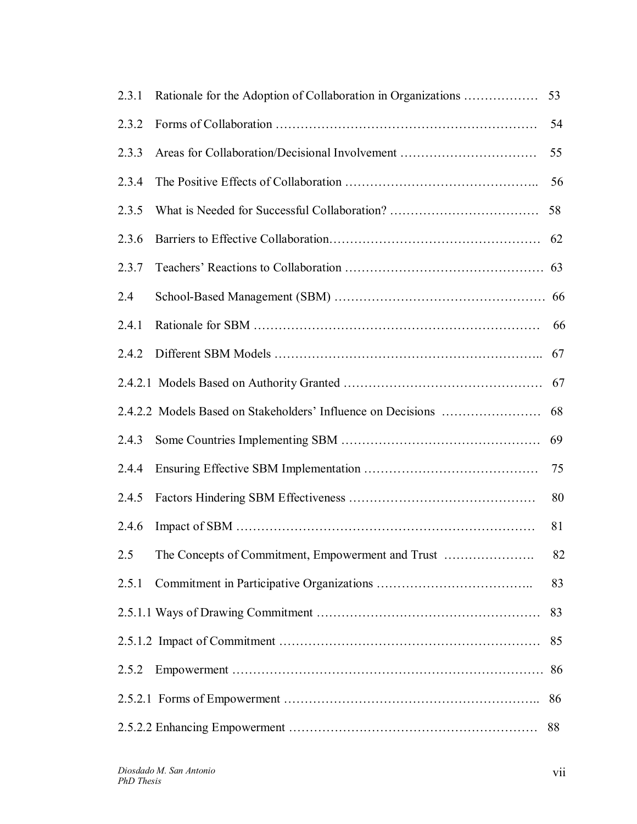| 2.3.1 | Rationale for the Adoption of Collaboration in Organizations | 53 |
|-------|--------------------------------------------------------------|----|
| 2.3.2 |                                                              | 54 |
| 2.3.3 | Areas for Collaboration/Decisional Involvement               | 55 |
| 2.3.4 |                                                              | 56 |
| 2.3.5 |                                                              | 58 |
| 2.3.6 |                                                              | 62 |
| 2.3.7 |                                                              |    |
| 2.4   |                                                              |    |
| 2.4.1 |                                                              | 66 |
| 2.4.2 |                                                              | 67 |
|       |                                                              | 67 |
|       |                                                              | 68 |
| 2.4.3 |                                                              | 69 |
| 2.4.4 |                                                              | 75 |
| 2.4.5 |                                                              | 80 |
| 2.4.6 |                                                              | 81 |
| 2.5   | The Concepts of Commitment, Empowerment and Trust            | 82 |
| 2.5.1 |                                                              | 83 |
|       |                                                              | 83 |
|       |                                                              | 85 |
| 2.5.2 |                                                              | 86 |
|       |                                                              | 86 |
|       |                                                              | 88 |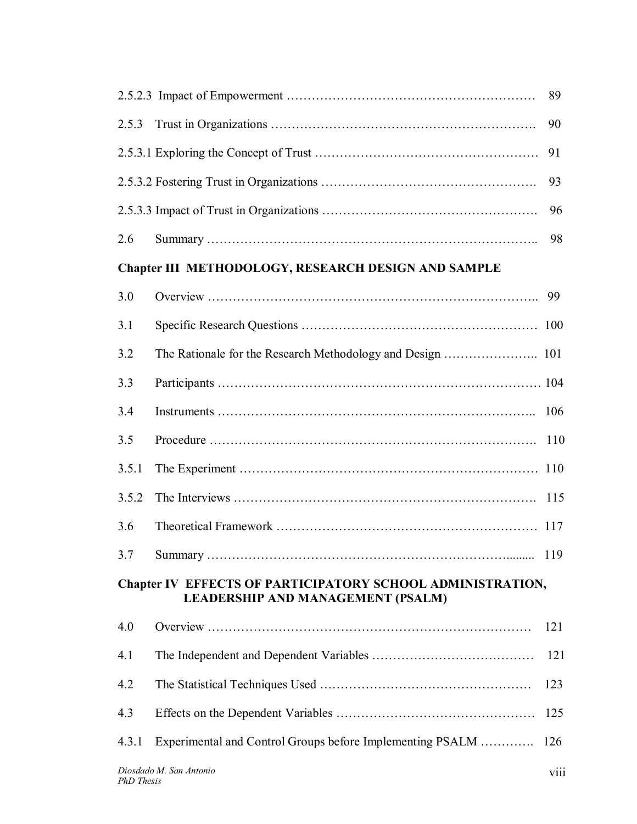|                                                                                                               |                                                           | 89  |
|---------------------------------------------------------------------------------------------------------------|-----------------------------------------------------------|-----|
| 2.5.3                                                                                                         |                                                           | 90  |
|                                                                                                               |                                                           | 91  |
|                                                                                                               |                                                           | 93  |
|                                                                                                               |                                                           | 96  |
| 2.6                                                                                                           |                                                           | 98  |
|                                                                                                               | Chapter III METHODOLOGY, RESEARCH DESIGN AND SAMPLE       |     |
| 3.0                                                                                                           |                                                           | 99  |
| 3.1                                                                                                           |                                                           | 100 |
| 3.2                                                                                                           |                                                           |     |
| 3.3                                                                                                           |                                                           |     |
| 3.4                                                                                                           |                                                           | 106 |
| 3.5                                                                                                           |                                                           | 110 |
| 3.5.1                                                                                                         |                                                           |     |
| 3.5.2                                                                                                         |                                                           | 115 |
| 3.6                                                                                                           |                                                           | 117 |
|                                                                                                               |                                                           |     |
| <b>Chapter IV EFFECTS OF PARTICIPATORY SCHOOL ADMINISTRATION,</b><br><b>LEADERSHIP AND MANAGEMENT (PSALM)</b> |                                                           |     |
| 4.0                                                                                                           |                                                           | 121 |
| 4.1                                                                                                           |                                                           | 121 |
| 4.2                                                                                                           |                                                           | 123 |
| 4.3                                                                                                           |                                                           | 125 |
| 4.3.1                                                                                                         | Experimental and Control Groups before Implementing PSALM | 126 |
| Diosdado M. San Antonio<br><b>V111</b>                                                                        |                                                           |     |

*PhD Thesis*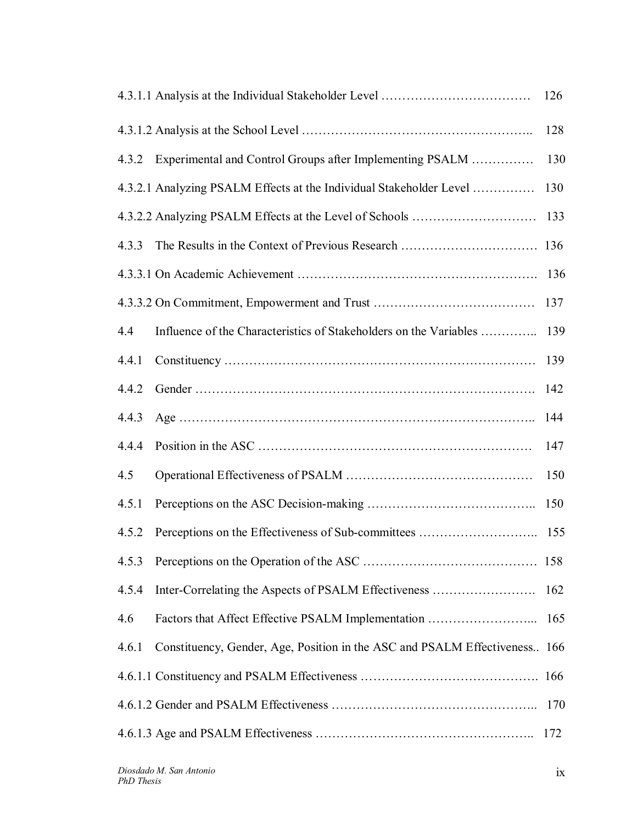|       |                                                                            | 126 |
|-------|----------------------------------------------------------------------------|-----|
|       |                                                                            | 128 |
| 4.3.2 | Experimental and Control Groups after Implementing PSALM                   | 130 |
|       | 4.3.2.1 Analyzing PSALM Effects at the Individual Stakeholder Level        | 130 |
|       |                                                                            | 133 |
| 4.3.3 |                                                                            |     |
|       |                                                                            |     |
|       |                                                                            | 137 |
| 4.4   | Influence of the Characteristics of Stakeholders on the Variables          | 139 |
| 4.4.1 |                                                                            | 139 |
| 4.4.2 |                                                                            | 142 |
| 4.4.3 |                                                                            | 144 |
| 4.4.4 |                                                                            | 147 |
| 4.5   |                                                                            | 150 |
| 4.5.1 |                                                                            | 150 |
| 4.5.2 | Perceptions on the Effectiveness of Sub-committees                         | 155 |
| 4.5.3 |                                                                            |     |
| 4.5.4 | Inter-Correlating the Aspects of PSALM Effectiveness                       | 162 |
| 4.6   | Factors that Affect Effective PSALM Implementation                         | 165 |
| 4.6.1 | Constituency, Gender, Age, Position in the ASC and PSALM Effectiveness 166 |     |
|       |                                                                            | 166 |
|       |                                                                            | 170 |
|       |                                                                            | 172 |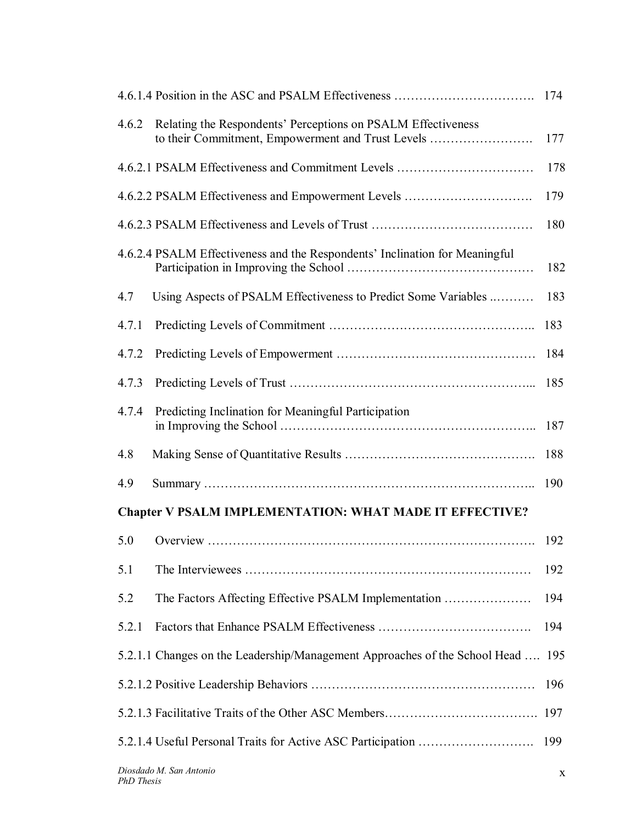| 4.6.2                                                          | Relating the Respondents' Perceptions on PSALM Effectiveness<br>to their Commitment, Empowerment and Trust Levels | 177 |
|----------------------------------------------------------------|-------------------------------------------------------------------------------------------------------------------|-----|
|                                                                | 4.6.2.1 PSALM Effectiveness and Commitment Levels                                                                 | 178 |
|                                                                | 4.6.2.2 PSALM Effectiveness and Empowerment Levels                                                                | 179 |
|                                                                |                                                                                                                   | 180 |
|                                                                | 4.6.2.4 PSALM Effectiveness and the Respondents' Inclination for Meaningful                                       | 182 |
| 4.7                                                            | Using Aspects of PSALM Effectiveness to Predict Some Variables                                                    | 183 |
| 4.7.1                                                          |                                                                                                                   | 183 |
| 4.7.2                                                          |                                                                                                                   | 184 |
| 4.7.3                                                          |                                                                                                                   | 185 |
| 4.7.4                                                          | Predicting Inclination for Meaningful Participation                                                               | 187 |
| 4.8                                                            |                                                                                                                   | 188 |
| 4.9                                                            |                                                                                                                   | 190 |
| <b>Chapter V PSALM IMPLEMENTATION: WHAT MADE IT EFFECTIVE?</b> |                                                                                                                   |     |
| 5.0                                                            |                                                                                                                   | 192 |
| 5.1                                                            |                                                                                                                   | 192 |
| 5.2                                                            | The Factors Affecting Effective PSALM Implementation                                                              | 194 |
| 5.2.1                                                          |                                                                                                                   | 194 |
|                                                                | 5.2.1.1 Changes on the Leadership/Management Approaches of the School Head  195                                   |     |
|                                                                |                                                                                                                   | 196 |
|                                                                |                                                                                                                   | 197 |
|                                                                |                                                                                                                   | 199 |
|                                                                |                                                                                                                   |     |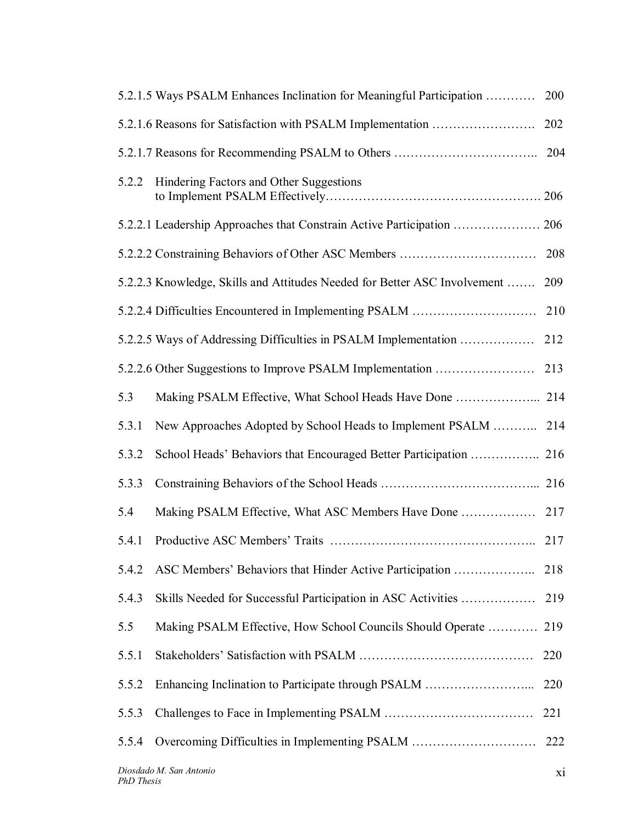|       | 5.2.1.5 Ways PSALM Enhances Inclination for Meaningful Participation      | 200 |
|-------|---------------------------------------------------------------------------|-----|
|       | 5.2.1.6 Reasons for Satisfaction with PSALM Implementation                | 202 |
|       |                                                                           | 204 |
| 5.2.2 | Hindering Factors and Other Suggestions                                   |     |
|       | 5.2.2.1 Leadership Approaches that Constrain Active Participation  206    |     |
|       |                                                                           | 208 |
|       | 5.2.2.3 Knowledge, Skills and Attitudes Needed for Better ASC Involvement | 209 |
|       | 5.2.2.4 Difficulties Encountered in Implementing PSALM                    | 210 |
|       | 5.2.2.5 Ways of Addressing Difficulties in PSALM Implementation           | 212 |
|       | 5.2.2.6 Other Suggestions to Improve PSALM Implementation                 | 213 |
| 5.3   | Making PSALM Effective, What School Heads Have Done  214                  |     |
| 5.3.1 | New Approaches Adopted by School Heads to Implement PSALM                 | 214 |
| 5.3.2 |                                                                           |     |
| 5.3.3 |                                                                           |     |
| 5.4   | Making PSALM Effective, What ASC Members Have Done                        | 217 |
| 5.4.1 |                                                                           | 217 |
| 5.4.2 | ASC Members' Behaviors that Hinder Active Participation                   | 218 |
| 5.4.3 | Skills Needed for Successful Participation in ASC Activities              | 219 |
| 5.5   | Making PSALM Effective, How School Councils Should Operate                | 219 |
| 5.5.1 |                                                                           | 220 |
| 5.5.2 |                                                                           | 220 |
| 5.5.3 |                                                                           | 221 |
| 5.5.4 | Overcoming Difficulties in Implementing PSALM                             | 222 |
|       |                                                                           |     |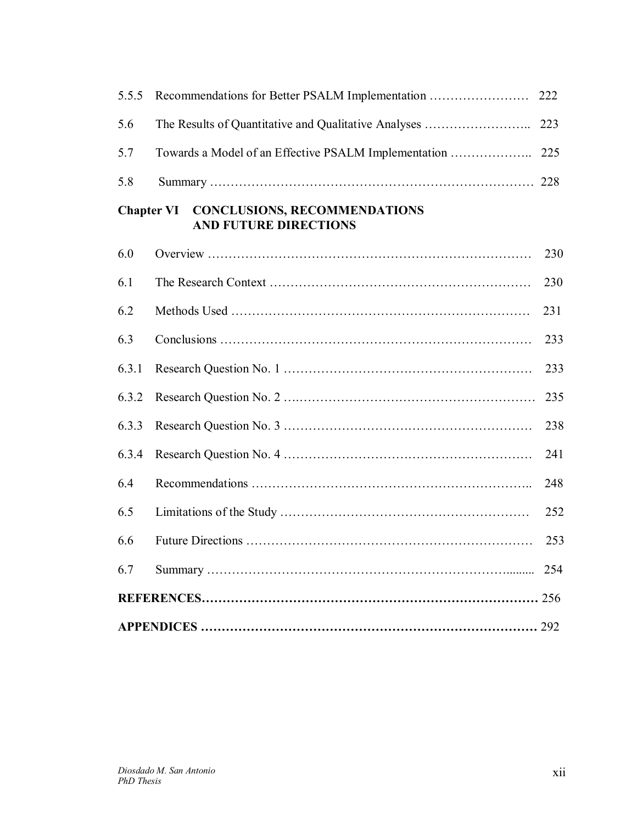| 5.5.5 | Recommendations for Better PSALM Implementation                                | 222 |
|-------|--------------------------------------------------------------------------------|-----|
| 5.6   |                                                                                | 223 |
| 5.7   | Towards a Model of an Effective PSALM Implementation                           | 225 |
| 5.8   |                                                                                |     |
|       | <b>Chapter VI CONCLUSIONS, RECOMMENDATIONS</b><br><b>AND FUTURE DIRECTIONS</b> |     |
| 6.0   |                                                                                | 230 |
| 6.1   |                                                                                | 230 |
| 6.2   |                                                                                | 231 |
| 6.3   |                                                                                | 233 |
| 6.3.1 |                                                                                | 233 |
| 6.3.2 |                                                                                | 235 |
| 6.3.3 |                                                                                | 238 |
| 6.3.4 |                                                                                | 241 |
| 6.4   |                                                                                | 248 |
| 6.5   |                                                                                | 252 |
| 6.6   |                                                                                | 253 |
| 6.7   |                                                                                | 254 |
|       |                                                                                |     |
|       |                                                                                |     |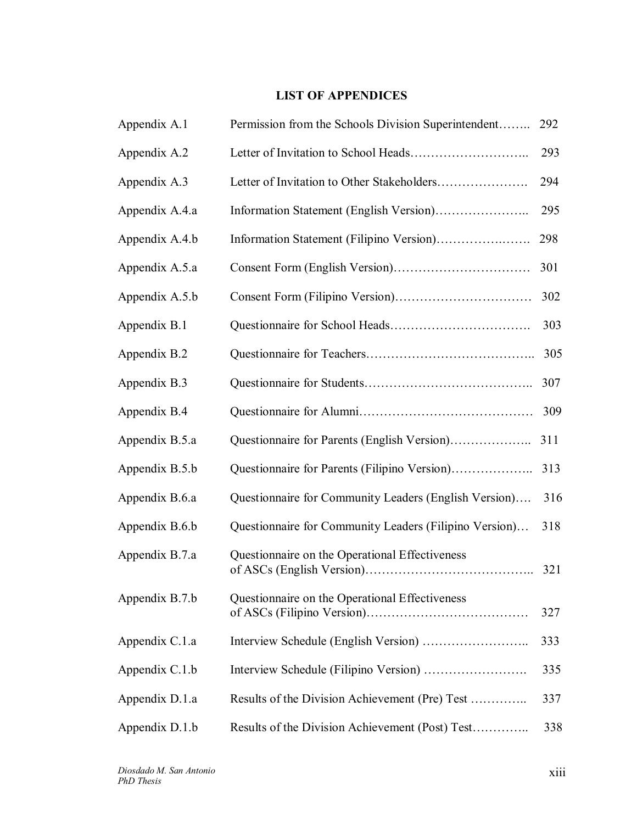## **LIST OF APPENDICES**

| Appendix A.1   | Permission from the Schools Division Superintendent    | 292 |
|----------------|--------------------------------------------------------|-----|
| Appendix A.2   |                                                        | 293 |
| Appendix A.3   |                                                        | 294 |
| Appendix A.4.a |                                                        | 295 |
| Appendix A.4.b |                                                        | 298 |
| Appendix A.5.a |                                                        | 301 |
| Appendix A.5.b |                                                        | 302 |
| Appendix B.1   |                                                        | 303 |
| Appendix B.2   |                                                        | 305 |
| Appendix B.3   |                                                        | 307 |
| Appendix B.4   |                                                        | 309 |
| Appendix B.5.a |                                                        | 311 |
| Appendix B.5.b | Questionnaire for Parents (Filipino Version)           | 313 |
| Appendix B.6.a | Questionnaire for Community Leaders (English Version)  | 316 |
| Appendix B.6.b | Questionnaire for Community Leaders (Filipino Version) | 318 |
| Appendix B.7.a | Questionnaire on the Operational Effectiveness         | 321 |
| Appendix B.7.b | Questionnaire on the Operational Effectiveness         | 327 |
| Appendix C.1.a |                                                        | 333 |
| Appendix C.1.b |                                                        | 335 |
| Appendix D.1.a | Results of the Division Achievement (Pre) Test         | 337 |
| Appendix D.1.b | Results of the Division Achievement (Post) Test        | 338 |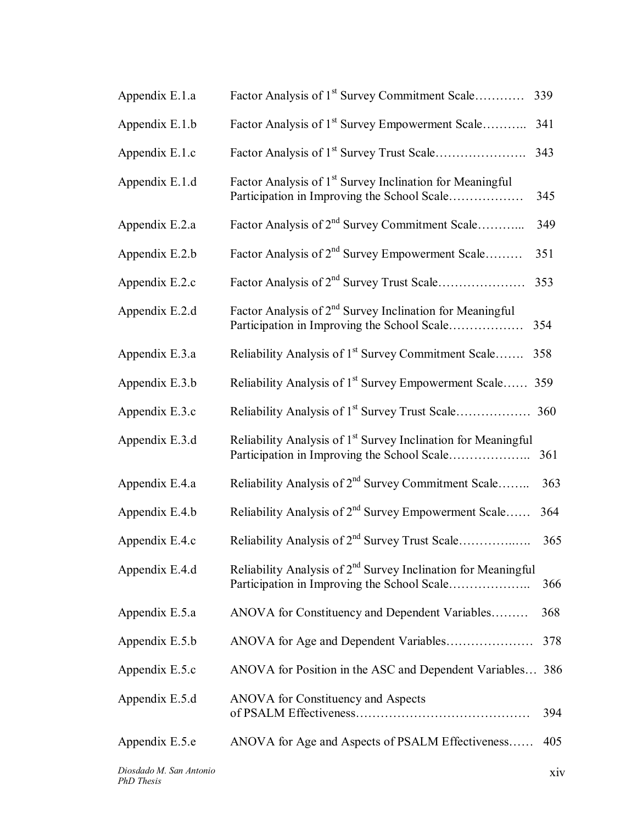| Appendix E.1.a | Factor Analysis of 1 <sup>st</sup> Survey Commitment Scale                                                               | 339 |
|----------------|--------------------------------------------------------------------------------------------------------------------------|-----|
| Appendix E.1.b | Factor Analysis of 1 <sup>st</sup> Survey Empowerment Scale                                                              | 341 |
| Appendix E.1.c |                                                                                                                          | 343 |
| Appendix E.1.d | Factor Analysis of 1 <sup>st</sup> Survey Inclination for Meaningful<br>Participation in Improving the School Scale      | 345 |
| Appendix E.2.a | Factor Analysis of 2 <sup>nd</sup> Survey Commitment Scale                                                               | 349 |
| Appendix E.2.b | Factor Analysis of 2 <sup>nd</sup> Survey Empowerment Scale                                                              | 351 |
| Appendix E.2.c | Factor Analysis of 2 <sup>nd</sup> Survey Trust Scale                                                                    | 353 |
| Appendix E.2.d | Factor Analysis of 2 <sup>nd</sup> Survey Inclination for Meaningful<br>Participation in Improving the School Scale      | 354 |
| Appendix E.3.a | Reliability Analysis of 1 <sup>st</sup> Survey Commitment Scale                                                          | 358 |
| Appendix E.3.b | Reliability Analysis of 1 <sup>st</sup> Survey Empowerment Scale                                                         | 359 |
| Appendix E.3.c | Reliability Analysis of 1 <sup>st</sup> Survey Trust Scale                                                               | 360 |
| Appendix E.3.d | Reliability Analysis of 1 <sup>st</sup> Survey Inclination for Meaningful<br>Participation in Improving the School Scale | 361 |
| Appendix E.4.a | Reliability Analysis of 2 <sup>nd</sup> Survey Commitment Scale                                                          | 363 |
| Appendix E.4.b | Reliability Analysis of $2^{nd}$ Survey Empowerment Scale                                                                | 364 |
| Appendix E.4.c | Reliability Analysis of 2 <sup>nd</sup> Survey Trust Scale                                                               | 365 |
| Appendix E.4.d | Reliability Analysis of $2nd$ Survey Inclination for Meaningful                                                          | 366 |
| Appendix E.5.a | ANOVA for Constituency and Dependent Variables                                                                           | 368 |
| Appendix E.5.b |                                                                                                                          | 378 |
| Appendix E.5.c | ANOVA for Position in the ASC and Dependent Variables 386                                                                |     |
|                |                                                                                                                          |     |
| Appendix E.5.d | <b>ANOVA</b> for Constituency and Aspects                                                                                | 394 |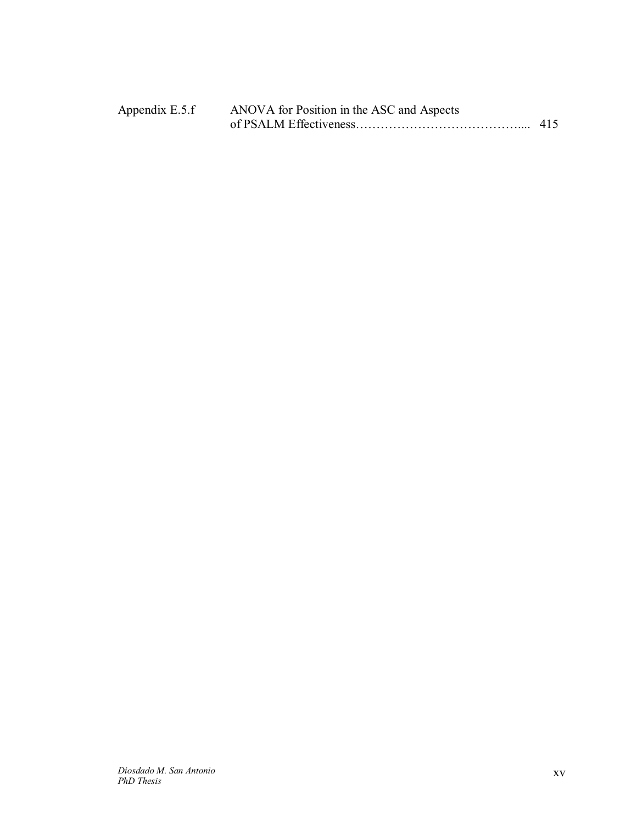| Appendix E.5.f | ANOVA for Position in the ASC and Aspects |  |
|----------------|-------------------------------------------|--|
|                |                                           |  |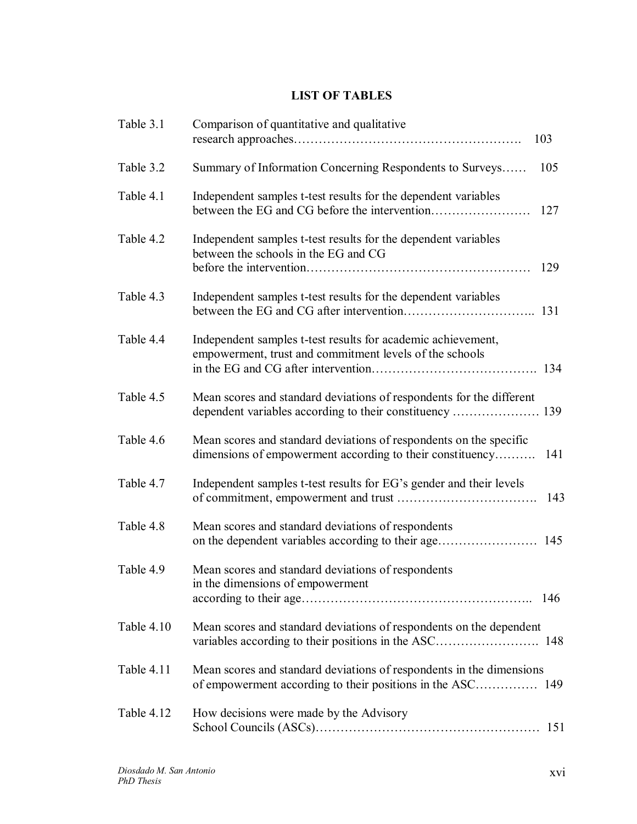## **LIST OF TABLES**

| Table 3.1  | Comparison of quantitative and qualitative<br>103                                                                                      |
|------------|----------------------------------------------------------------------------------------------------------------------------------------|
| Table 3.2  | Summary of Information Concerning Respondents to Surveys<br>105                                                                        |
| Table 4.1  | Independent samples t-test results for the dependent variables<br>127                                                                  |
| Table 4.2  | Independent samples t-test results for the dependent variables<br>between the schools in the EG and CG<br>129                          |
| Table 4.3  | Independent samples t-test results for the dependent variables                                                                         |
| Table 4.4  | Independent samples t-test results for academic achievement,<br>empowerment, trust and commitment levels of the schools<br>134         |
| Table 4.5  | Mean scores and standard deviations of respondents for the different                                                                   |
| Table 4.6  | Mean scores and standard deviations of respondents on the specific<br>dimensions of empowerment according to their constituency<br>141 |
| Table 4.7  | Independent samples t-test results for EG's gender and their levels<br>143                                                             |
| Table 4.8  | Mean scores and standard deviations of respondents<br>on the dependent variables according to their age<br>145                         |
| Table 4.9  | Mean scores and standard deviations of respondents<br>in the dimensions of empowerment                                                 |
| Table 4.10 | Mean scores and standard deviations of respondents on the dependent                                                                    |
| Table 4.11 | Mean scores and standard deviations of respondents in the dimensions                                                                   |
| Table 4.12 | How decisions were made by the Advisory<br>151                                                                                         |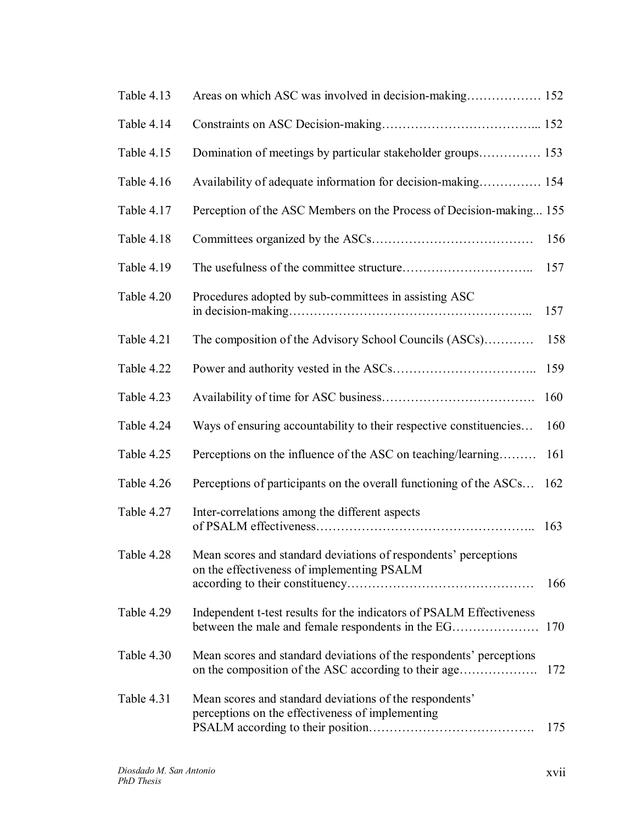| Table 4.13 | Areas on which ASC was involved in decision-making 152                                                                      |     |
|------------|-----------------------------------------------------------------------------------------------------------------------------|-----|
| Table 4.14 |                                                                                                                             |     |
| Table 4.15 | Domination of meetings by particular stakeholder groups 153                                                                 |     |
| Table 4.16 | Availability of adequate information for decision-making 154                                                                |     |
| Table 4.17 | Perception of the ASC Members on the Process of Decision-making 155                                                         |     |
| Table 4.18 |                                                                                                                             | 156 |
| Table 4.19 |                                                                                                                             | 157 |
| Table 4.20 | Procedures adopted by sub-committees in assisting ASC                                                                       | 157 |
| Table 4.21 | The composition of the Advisory School Councils (ASCs)                                                                      | 158 |
| Table 4.22 |                                                                                                                             | 159 |
| Table 4.23 |                                                                                                                             | 160 |
| Table 4.24 | Ways of ensuring accountability to their respective constituencies                                                          | 160 |
| Table 4.25 | Perceptions on the influence of the ASC on teaching/learning                                                                | 161 |
| Table 4.26 | Perceptions of participants on the overall functioning of the ASCs                                                          | 162 |
| Table 4.27 | Inter-correlations among the different aspects                                                                              | 163 |
| Table 4.28 | Mean scores and standard deviations of respondents' perceptions<br>on the effectiveness of implementing PSALM               | 166 |
| Table 4.29 | Independent t-test results for the indicators of PSALM Effectiveness<br>between the male and female respondents in the EG   | 170 |
| Table 4.30 | Mean scores and standard deviations of the respondents' perceptions<br>on the composition of the ASC according to their age | 172 |
| Table 4.31 | Mean scores and standard deviations of the respondents'<br>perceptions on the effectiveness of implementing                 | 175 |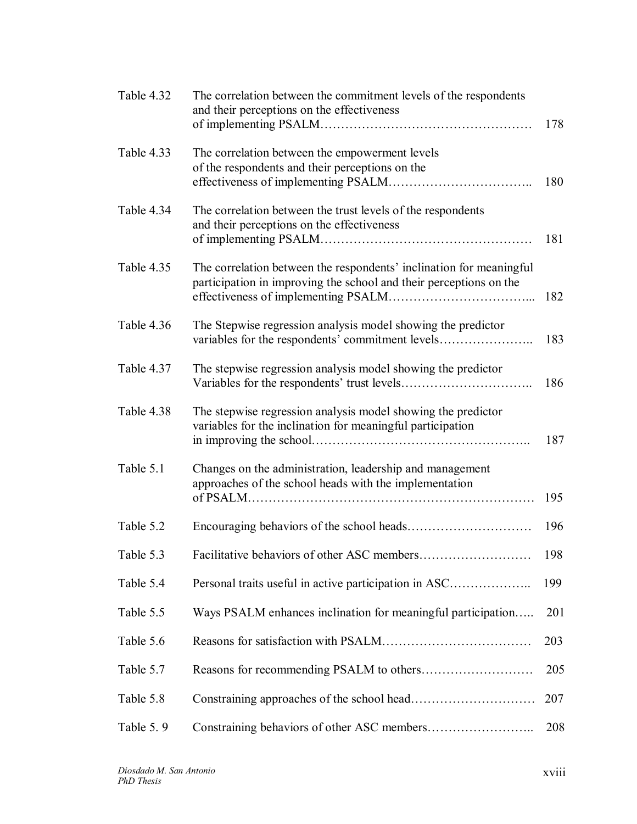| Table 4.32 | The correlation between the commitment levels of the respondents<br>and their perceptions on the effectiveness                            | 178 |
|------------|-------------------------------------------------------------------------------------------------------------------------------------------|-----|
| Table 4.33 | The correlation between the empowerment levels<br>of the respondents and their perceptions on the                                         | 180 |
| Table 4.34 | The correlation between the trust levels of the respondents<br>and their perceptions on the effectiveness                                 | 181 |
| Table 4.35 | The correlation between the respondents' inclination for meaningful<br>participation in improving the school and their perceptions on the | 182 |
| Table 4.36 | The Stepwise regression analysis model showing the predictor<br>variables for the respondents' commitment levels                          | 183 |
| Table 4.37 | The stepwise regression analysis model showing the predictor                                                                              | 186 |
| Table 4.38 | The stepwise regression analysis model showing the predictor<br>variables for the inclination for meaningful participation                | 187 |
| Table 5.1  | Changes on the administration, leadership and management<br>approaches of the school heads with the implementation                        | 195 |
| Table 5.2  |                                                                                                                                           | 196 |
| Table 5.3  |                                                                                                                                           | 198 |
| Table 5.4  | Personal traits useful in active participation in ASC                                                                                     | 199 |
| Table 5.5  | Ways PSALM enhances inclination for meaningful participation                                                                              | 201 |
| Table 5.6  |                                                                                                                                           | 203 |
| Table 5.7  |                                                                                                                                           | 205 |
| Table 5.8  |                                                                                                                                           | 207 |
| Table 5.9  |                                                                                                                                           | 208 |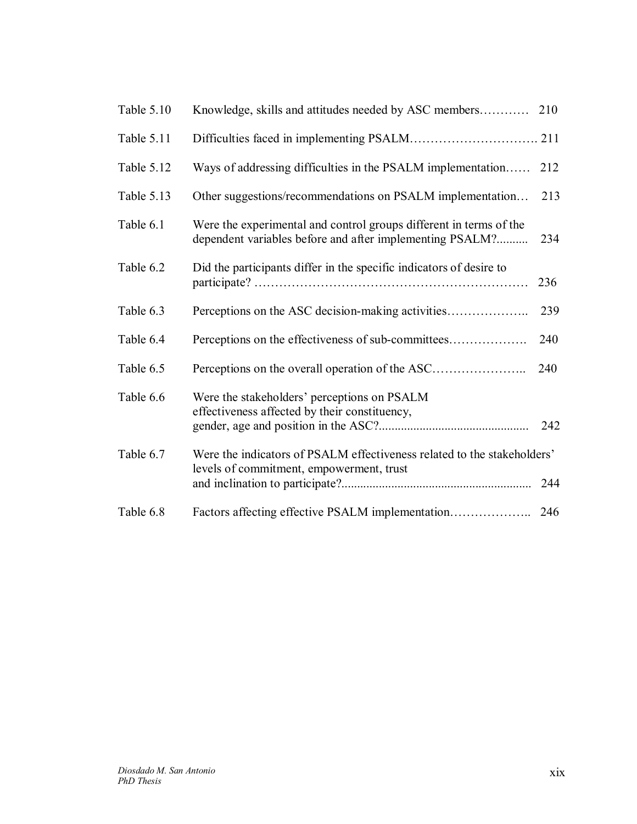| Table 5.10 | Knowledge, skills and attitudes needed by ASC members                                                                          | 210 |
|------------|--------------------------------------------------------------------------------------------------------------------------------|-----|
| Table 5.11 |                                                                                                                                |     |
| Table 5.12 | Ways of addressing difficulties in the PSALM implementation                                                                    | 212 |
| Table 5.13 | Other suggestions/recommendations on PSALM implementation                                                                      | 213 |
| Table 6.1  | Were the experimental and control groups different in terms of the<br>dependent variables before and after implementing PSALM? | 234 |
| Table 6.2  | Did the participants differ in the specific indicators of desire to                                                            | 236 |
| Table 6.3  |                                                                                                                                | 239 |
| Table 6.4  | Perceptions on the effectiveness of sub-committees                                                                             | 240 |
| Table 6.5  | Perceptions on the overall operation of the ASC                                                                                | 240 |
| Table 6.6  | Were the stakeholders' perceptions on PSALM<br>effectiveness affected by their constituency,                                   | 242 |
| Table 6.7  | Were the indicators of PSALM effectiveness related to the stakeholders'<br>levels of commitment, empowerment, trust            | 244 |
| Table 6.8  |                                                                                                                                | 246 |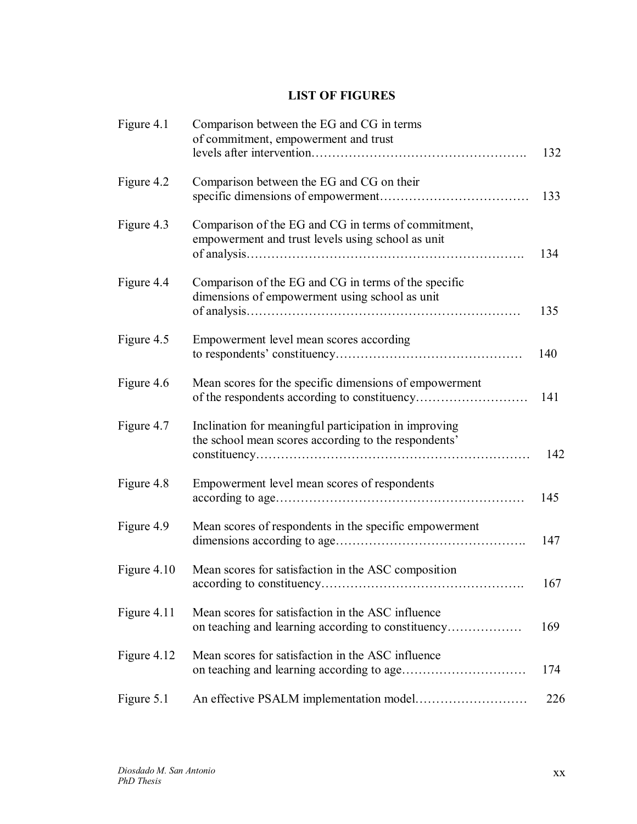## **LIST OF FIGURES**

| Figure 4.1  | Comparison between the EG and CG in terms<br>of commitment, empowerment and trust                             | 132 |
|-------------|---------------------------------------------------------------------------------------------------------------|-----|
| Figure 4.2  | Comparison between the EG and CG on their                                                                     | 133 |
| Figure 4.3  | Comparison of the EG and CG in terms of commitment,<br>empowerment and trust levels using school as unit      | 134 |
| Figure 4.4  | Comparison of the EG and CG in terms of the specific<br>dimensions of empowerment using school as unit        | 135 |
| Figure 4.5  | Empowerment level mean scores according                                                                       | 140 |
| Figure 4.6  | Mean scores for the specific dimensions of empowerment                                                        | 141 |
| Figure 4.7  | Inclination for meaningful participation in improving<br>the school mean scores according to the respondents' | 142 |
| Figure 4.8  | Empowerment level mean scores of respondents                                                                  | 145 |
| Figure 4.9  | Mean scores of respondents in the specific empowerment                                                        | 147 |
| Figure 4.10 | Mean scores for satisfaction in the ASC composition                                                           | 167 |
| Figure 4.11 | Mean scores for satisfaction in the ASC influence                                                             | 169 |
| Figure 4.12 | Mean scores for satisfaction in the ASC influence                                                             | 174 |
| Figure 5.1  |                                                                                                               | 226 |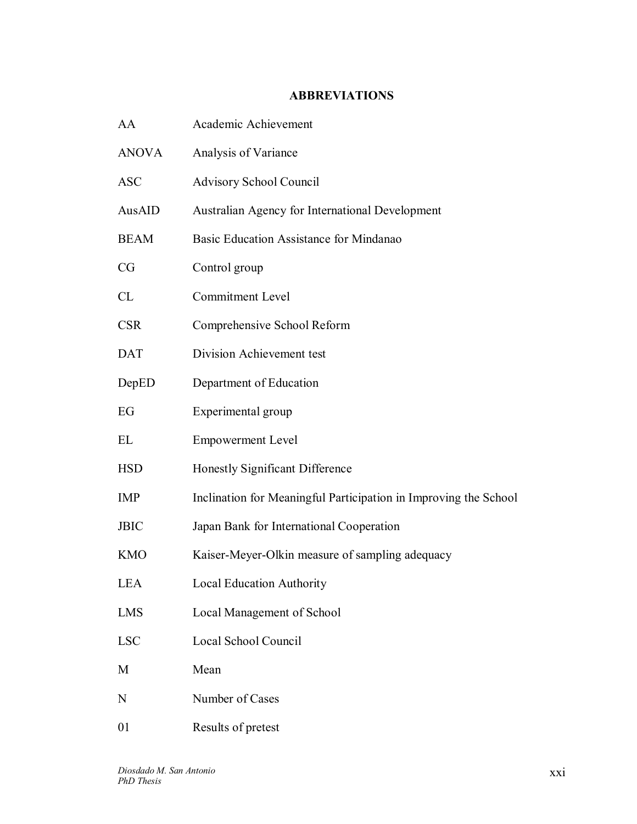## **ABBREVIATIONS**

| AA           | Academic Achievement                                             |
|--------------|------------------------------------------------------------------|
| <b>ANOVA</b> | Analysis of Variance                                             |
| <b>ASC</b>   | Advisory School Council                                          |
| AusAID       | Australian Agency for International Development                  |
| <b>BEAM</b>  | Basic Education Assistance for Mindanao                          |
| CG           | Control group                                                    |
| CL           | <b>Commitment Level</b>                                          |
| <b>CSR</b>   | Comprehensive School Reform                                      |
| <b>DAT</b>   | Division Achievement test                                        |
| DepED        | Department of Education                                          |
| EG           | Experimental group                                               |
| EL           | <b>Empowerment Level</b>                                         |
| <b>HSD</b>   | Honestly Significant Difference                                  |
| <b>IMP</b>   | Inclination for Meaningful Participation in Improving the School |
| <b>JBIC</b>  | Japan Bank for International Cooperation                         |
| <b>KMO</b>   | Kaiser-Meyer-Olkin measure of sampling adequacy                  |
| LEA          | Local Education Authority                                        |
| <b>LMS</b>   | Local Management of School                                       |
| <b>LSC</b>   | Local School Council                                             |
| M            | Mean                                                             |
| N            | Number of Cases                                                  |
| 01           | Results of pretest                                               |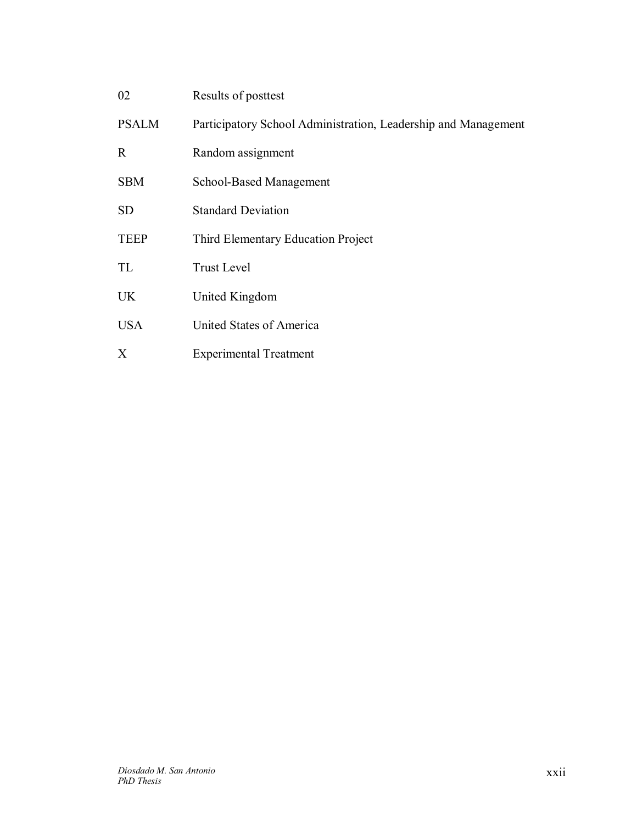| 02           | Results of posttest                                            |
|--------------|----------------------------------------------------------------|
| <b>PSALM</b> | Participatory School Administration, Leadership and Management |
| R            | Random assignment                                              |
| <b>SBM</b>   | School-Based Management                                        |
| <b>SD</b>    | <b>Standard Deviation</b>                                      |
| <b>TEEP</b>  | Third Elementary Education Project                             |
| TL           | <b>Trust Level</b>                                             |
| <b>UK</b>    | United Kingdom                                                 |
| <b>USA</b>   | United States of America                                       |
|              |                                                                |

*Diosdado M. San Antonio PhD Thesis* 

X Experimental Treatment